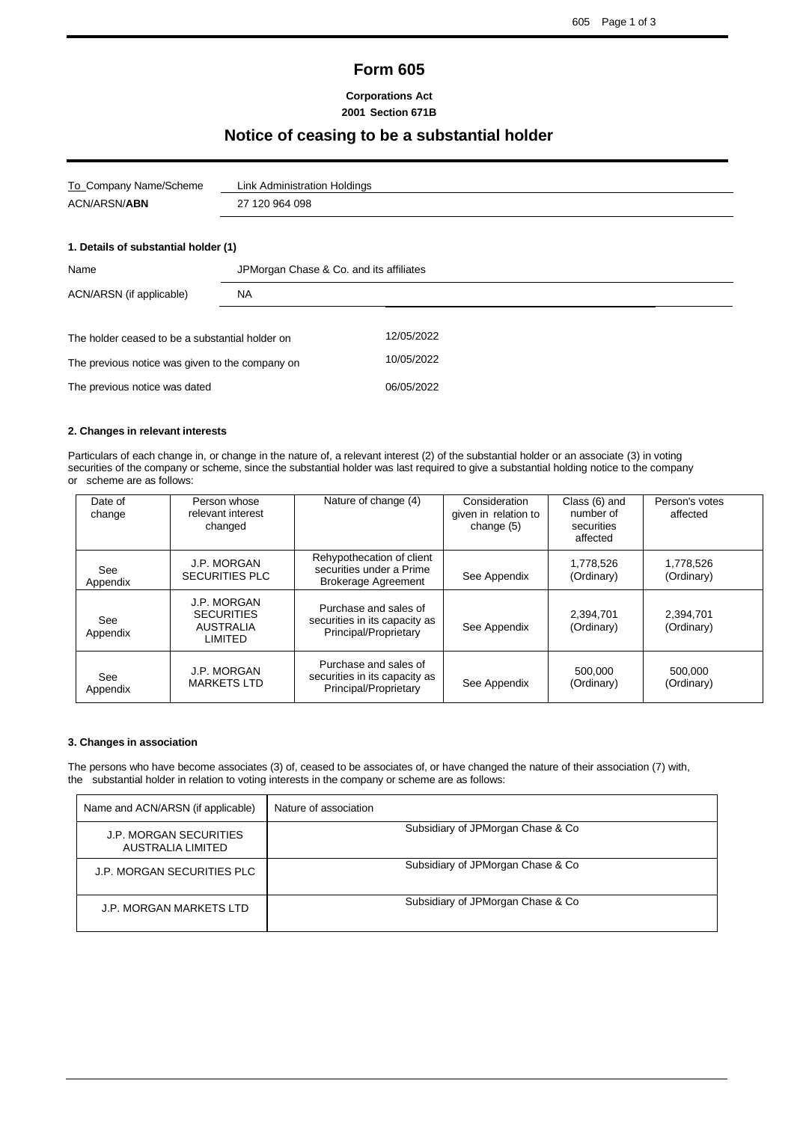## **Form 605**

#### **Corporations Act 2001 Section 671B**

## **Notice of ceasing to be a substantial holder**

| To_Company Name/Scheme               | Link Administration Holdings            |  |  |
|--------------------------------------|-----------------------------------------|--|--|
| <b>ACN/ARSN/ABN</b>                  | 27 120 964 098                          |  |  |
|                                      |                                         |  |  |
| 1. Details of substantial holder (1) |                                         |  |  |
| Name                                 | JPMorgan Chase & Co. and its affiliates |  |  |
| ACN/ARSN (if applicable)             | <b>NA</b>                               |  |  |

| The holder ceased to be a substantial holder on | 12/05/2022 |
|-------------------------------------------------|------------|
| The previous notice was given to the company on | 10/05/2022 |
| The previous notice was dated                   | 06/05/2022 |

#### **2. Changes in relevant interests**

Particulars of each change in, or change in the nature of, a relevant interest (2) of the substantial holder or an associate (3) in voting securities of the company or scheme, since the substantial holder was last required to give a substantial holding notice to the company or scheme are as follows:

| Date of<br>change | Person whose<br>relevant interest<br>changed                    | Nature of change (4)                                                                | Consideration<br>given in relation to<br>change (5) | Class (6) and<br>number of<br>securities<br>affected | Person's votes<br>affected |
|-------------------|-----------------------------------------------------------------|-------------------------------------------------------------------------------------|-----------------------------------------------------|------------------------------------------------------|----------------------------|
| See<br>Appendix   | J.P. MORGAN<br><b>SECURITIES PLC</b>                            | Rehypothecation of client<br>securities under a Prime<br><b>Brokerage Agreement</b> | See Appendix                                        | 1,778,526<br>(Ordinary)                              | 1,778,526<br>(Ordinary)    |
| See<br>Appendix   | J.P. MORGAN<br><b>SECURITIES</b><br><b>AUSTRALIA</b><br>LIMITED | Purchase and sales of<br>securities in its capacity as<br>Principal/Proprietary     | See Appendix                                        | 2.394.701<br>(Ordinary)                              | 2,394,701<br>(Ordinary)    |
| See<br>Appendix   | J.P. MORGAN<br><b>MARKETS LTD</b>                               | Purchase and sales of<br>securities in its capacity as<br>Principal/Proprietary     | See Appendix                                        | 500,000<br>(Ordinary)                                | 500.000<br>(Ordinary)      |

#### **3. Changes in association**

The persons who have become associates (3) of, ceased to be associates of, or have changed the nature of their association (7) with, the substantial holder in relation to voting interests in the company or scheme are as follows:

| Name and ACN/ARSN (if applicable)           | Nature of association              |
|---------------------------------------------|------------------------------------|
| J.P. MORGAN SECURITIES<br>AUSTRALIA LIMITED | Subsidiary of JPMorgan Chase & Co. |
| J.P. MORGAN SECURITIES PLC                  | Subsidiary of JPMorgan Chase & Co. |
| J.P. MORGAN MARKETS LTD                     | Subsidiary of JPMorgan Chase & Co. |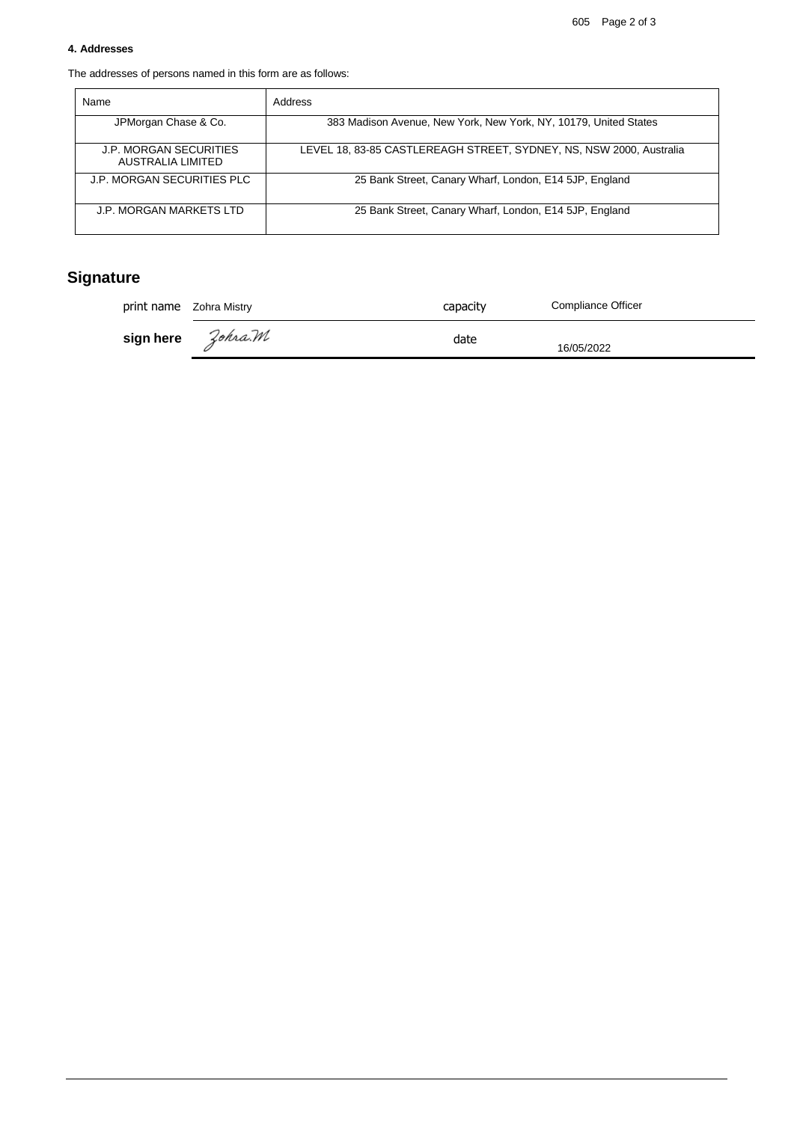#### **4. Addresses**

The addresses of persons named in this form are as follows:

| Name                                        | Address                                                             |
|---------------------------------------------|---------------------------------------------------------------------|
| JPMorgan Chase & Co.                        | 383 Madison Avenue, New York, New York, NY, 10179, United States    |
| J.P. MORGAN SECURITIES<br>AUSTRALIA LIMITED | LEVEL 18, 83-85 CASTLEREAGH STREET, SYDNEY, NS, NSW 2000, Australia |
| J.P. MORGAN SECURITIES PLC                  | 25 Bank Street, Canary Wharf, London, E14 5JP, England              |
| J.P. MORGAN MARKETS LTD                     | 25 Bank Street, Canary Wharf, London, E14 5JP, England              |

# **Signature**

| print name Zohra Mistry |  | capacity | <b>Compliance Officer</b> |
|-------------------------|--|----------|---------------------------|
|                         |  | date     | 16/05/2022                |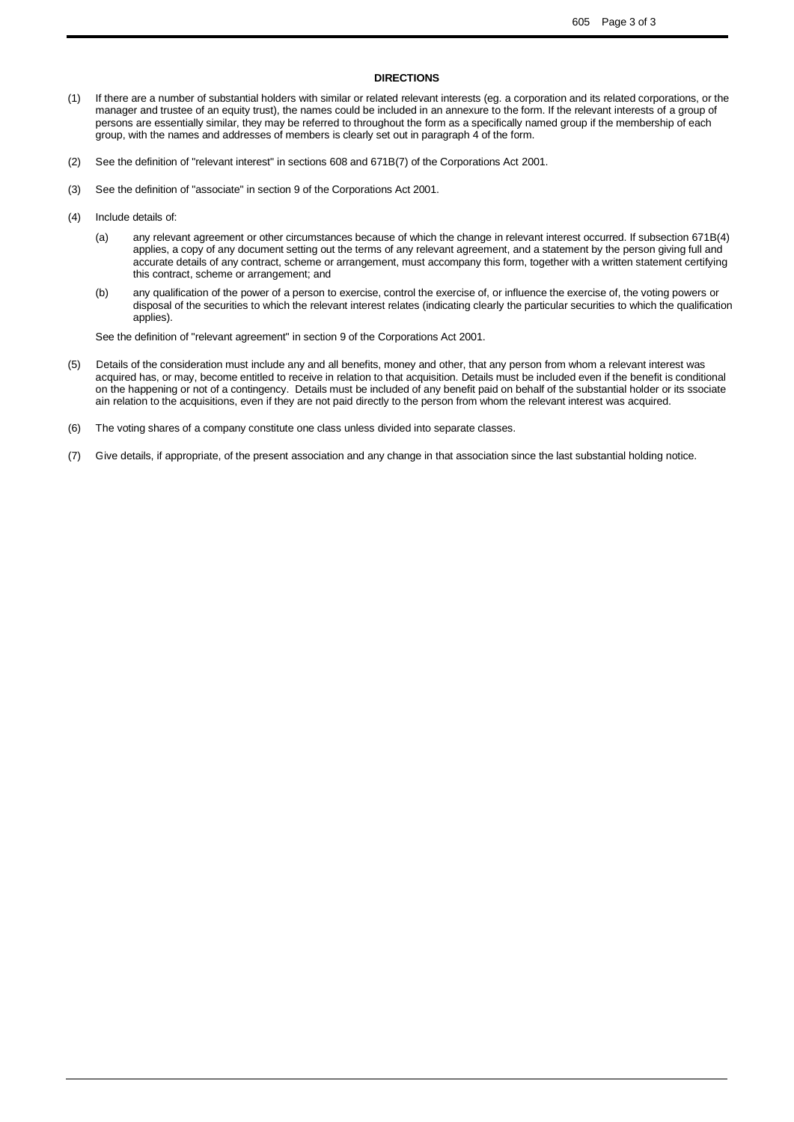#### **DIRECTIONS**

- (1) If there are a number of substantial holders with similar or related relevant interests (eg. a corporation and its related corporations, or the manager and trustee of an equity trust), the names could be included in an annexure to the form. If the relevant interests of a group of persons are essentially similar, they may be referred to throughout the form as a specifically named group if the membership of each group, with the names and addresses of members is clearly set out in paragraph 4 of the form.
- (2) See the definition of "relevant interest" in sections 608 and 671B(7) of the Corporations Act 2001.
- (3) See the definition of "associate" in section 9 of the Corporations Act 2001.
- (4) Include details of:
	- (a) any relevant agreement or other circumstances because of which the change in relevant interest occurred. If subsection 671B(4) applies, a copy of any document setting out the terms of any relevant agreement, and a statement by the person giving full and accurate details of any contract, scheme or arrangement, must accompany this form, together with a written statement certifying this contract, scheme or arrangement; and
	- (b) any qualification of the power of a person to exercise, control the exercise of, or influence the exercise of, the voting powers or disposal of the securities to which the relevant interest relates (indicating clearly the particular securities to which the qualification applies).

See the definition of "relevant agreement" in section 9 of the Corporations Act 2001.

- $(5)$ a cquired has, or may, become entitled to receive in relation to that acquisition. Details must be included even if the benefit is conditional on the happening or not of a contingency. Details must be included of any benefit paid on behalf of the substantial holder or its ssociate a in relation to the acquisitions, even if they are not paid directly to the person from whom the relevant interest was acquired. Details of the consideration must include any and all benefits, money and other, that any person from whom a relevant interest was
- (6) The voting shares of a company constitute one class unless divided into separate classes.
- (7) Give details, if appropriate, of the present association and any change in that association since the last substantial holding notice.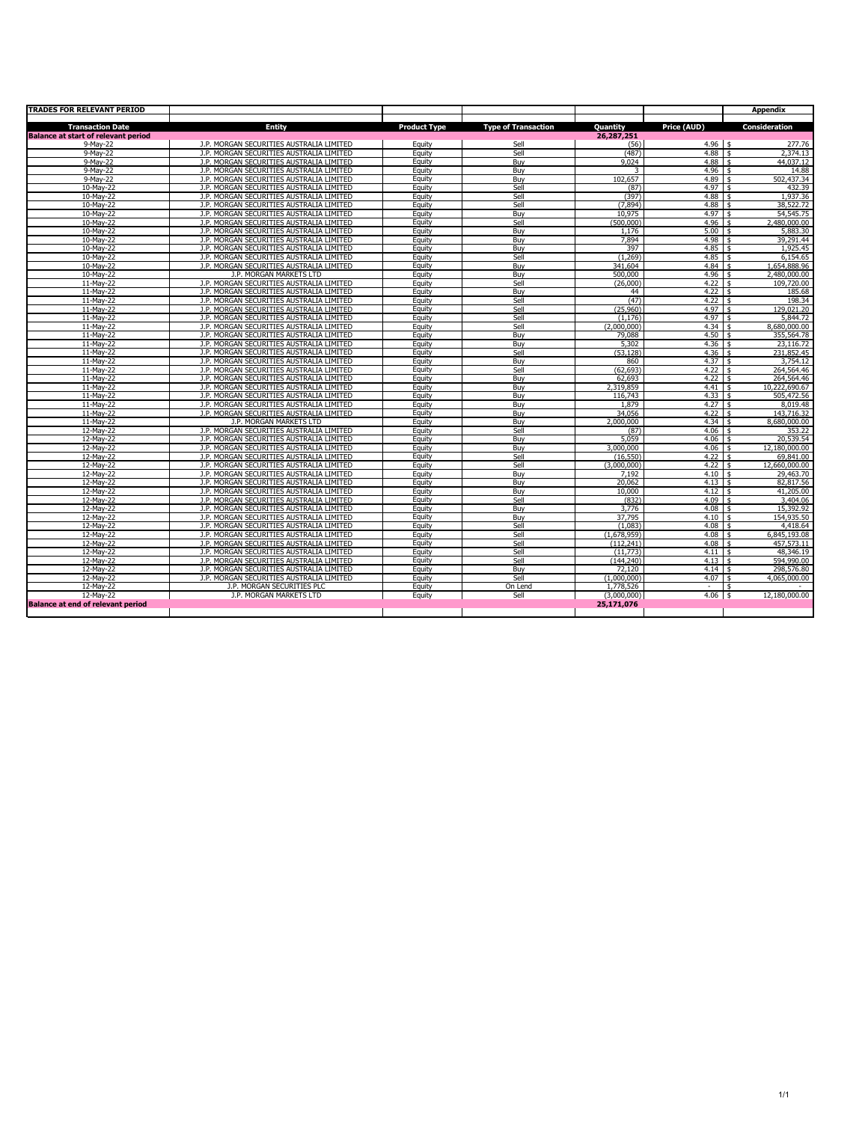| <b>TRADES FOR RELEVANT PERIOD</b>          |                                                                                      |                     |                            |                 |                   | Appendix                            |
|--------------------------------------------|--------------------------------------------------------------------------------------|---------------------|----------------------------|-----------------|-------------------|-------------------------------------|
| <b>Transaction Date</b>                    | <b>Entity</b>                                                                        | <b>Product Type</b> | <b>Type of Transaction</b> | Quantity        | Price (AUD)       | <b>Consideration</b>                |
| <b>Balance at start of relevant period</b> |                                                                                      |                     |                            | 26,287,251      |                   |                                     |
| 9-May-22                                   | J.P. MORGAN SECURITIES AUSTRALIA LIMITED                                             | Equity              | Sell                       | (56)            | $4.96$ \$         | 277.76                              |
| 9-May-22                                   | J.P. MORGAN SECURITIES AUSTRALIA LIMITED                                             | Equity              | Sell                       | (487)           | $4.88$ \$         | 2,374.13                            |
| 9-May-22                                   | J.P. MORGAN SECURITIES AUSTRALIA LIMITED                                             | Equity              | Buv                        | 9.024           | 4.88              | 44.037.12<br>\$                     |
| 9-May-22                                   | J.P. MORGAN SECURITIES AUSTRALIA LIMITED                                             | Equity              | Buy                        | 3               | $4.96$ \$         | 14.88                               |
| 9-May-22                                   | J.P. MORGAN SECURITIES AUSTRALIA LIMITED                                             | Equity              | Buv                        | 102,657         | 4.89              | 502,437.34<br>$\frac{1}{3}$         |
| 10-Mav-22                                  | J.P. MORGAN SECURITIES AUSTRALIA LIMITED                                             | Equity              | Sell                       | (87)            | 4.97              | 432.39<br><b>s</b>                  |
| 10-Mav-22                                  | J.P. MORGAN SECURITIES AUSTRALIA LIMITED                                             | Equity              | Sell                       | (397)           | 4.88              | 1,937.36<br>\$                      |
| 10-Mav-22                                  | J.P. MORGAN SECURITIES AUSTRALIA LIMITED                                             | Eauity              | Sell                       | (7.894)         | $4.88$ \$         | 38.522.72                           |
| 10-Mav-22                                  | J.P. MORGAN SECURITIES AUSTRALIA LIMITED                                             | Equity              | Buv                        | 10.975          | 4.97              | $\ddot{\text{s}}$<br>54,545.75      |
| 10-Mav-22                                  | J.P. MORGAN SECURITIES AUSTRALIA LIMITED                                             | Eauity              | Sell                       | (500.000)       | 4.96              | 2,480,000.00<br>\$                  |
| 10-May-22                                  | J.P. MORGAN SECURITIES AUSTRALIA LIMITED                                             | Equity              | Buy                        | 1,176           | 5.00              | 5,883.30<br>\$                      |
| 10-Mav-22                                  | J.P. MORGAN SECURITIES AUSTRALIA LIMITED                                             | Equity              | Buv                        | 7.894           | $4.98$ \$         | 39.291.44                           |
| 10-May-22                                  | J.P. MORGAN SECURITIES AUSTRALIA LIMITED                                             | Eauity              | Buv                        | 397             | $4.85$ \$         | 1,925.45                            |
| 10-May-22                                  | J.P. MORGAN SECURITIES AUSTRALIA LIMITED                                             | Eauity              | Sell                       | (1.269)         | 4.85              | 6,154.65<br>$\vert$ \$              |
| 10-May-22                                  | J.P. MORGAN SECURITIES AUSTRALIA LIMITED                                             | Eauity              | Buy                        | 341.604         | 4.84              | 1,654,888.96<br><b>s</b>            |
| 10-May-22                                  | J.P. MORGAN MARKETS LTD                                                              | Equity              | Buv                        | 500,000         | $4.96$ \$         | 2,480,000.00                        |
| 11-May-22                                  | J.P. MORGAN SECURITIES AUSTRALIA LIMITED                                             | Equity              | Sell                       | (26,000)        | 4.22              | l \$<br>109,720.00                  |
| 11-Mav-22                                  | J.P. MORGAN SECURITIES AUSTRALIA LIMITED                                             | Eauity              | Buv                        | 44              | $4.22 \pm 5$      | 185.68                              |
| 11-May-22                                  | J.P. MORGAN SECURITIES AUSTRALIA LIMITED                                             | Equity              | Sell                       | (47)            | $4.22 \pm 5$      | 198.34                              |
| 11-May-22                                  | J.P. MORGAN SECURITIES AUSTRALIA LIMITED                                             | Equity              | Sell                       | (25,960)        | $4.97 \pm$        | 129,021.20                          |
| 11-Mav-22                                  | J.P. MORGAN SECURITIES AUSTRALIA LIMITED                                             | Equity              | Sell                       | (1.176)         | 4.97              | $\overline{\mathbf{s}}$<br>5.844.72 |
| 11-Mav-22                                  | J.P. MORGAN SECURITIES AUSTRALIA LIMITED                                             | Eauity              | Sell                       | (2.000.000)     | 4.34              | 8.680.000.00<br>l \$                |
| 11-May-22                                  | J.P. MORGAN SECURITIES AUSTRALIA LIMITED                                             | Equity              | Buy                        | 79,088          | 4.50%             | 355,564.78                          |
| 11-May-22                                  | J.P. MORGAN SECURITIES AUSTRALIA LIMITED                                             | Equity              | Buy                        | 5,302           | $4.36$ \$         | 23,116.72                           |
| 11-May-22                                  | J.P. MORGAN SECURITIES AUSTRALIA LIMITED                                             | Equity              | Sell                       | (53.128)        | $4.36$ \$         | 231,852.45                          |
| 11-May-22                                  | J.P. MORGAN SECURITIES AUSTRALIA LIMITED                                             | Equity              | Buy                        | 860             | 4.37 <sub>5</sub> | 3,754.12                            |
| 11-May-22                                  | J.P. MORGAN SECURITIES AUSTRALIA LIMITED                                             | Equity              | Sell                       | (62, 693)       | $4.22 \pm 5$      | 264,564.46                          |
| 11-Mav-22                                  | J.P. MORGAN SECURITIES AUSTRALIA LIMITED                                             | Equity              | Buv                        | 62,693          | 4.22              | 264,564.46<br><b>s</b>              |
| 11-Mav-22                                  | J.P. MORGAN SECURITIES AUSTRALIA LIMITED                                             | Eauity              | Buv                        | 2.319.859       | 4.41              | 10.222.690.67<br>l \$               |
| 11-Mav-22                                  | J.P. MORGAN SECURITIES AUSTRALIA LIMITED                                             | Eauity              | Buv                        | 116.743         | 4.33              | $\frac{1}{2}$<br>505.472.56         |
| 11-Mav-22                                  | J.P. MORGAN SECURITIES AUSTRALIA LIMITED                                             | Eauity              | Buv                        | 1.879           | $4.27 \pm 5$      | 8.019.48                            |
| 11-Mav-22                                  | J.P. MORGAN SECURITIES AUSTRALIA LIMITED                                             | Equity              | Buv                        | 34.056          | 4.22              | l \$<br>143.716.32                  |
| 11-May-22                                  | J.P. MORGAN MARKETS LTD                                                              | Equity              | Buv                        | 2.000.000       | $4.34 \pm 5$      | 8,680,000.00                        |
| 12-Mav-22                                  | J.P. MORGAN SECURITIES AUSTRALIA LIMITED                                             | Eauity              | Sell                       | (87)            | $4.06$ \$         | 353.22                              |
| 12-May-22                                  | J.P. MORGAN SECURITIES AUSTRALIA LIMITED                                             | Equity              | Buv                        | 5,059           | $4.06 \pm$        | 20,539.54                           |
| 12-May-22                                  | J.P. MORGAN SECURITIES AUSTRALIA LIMITED                                             | Equity              | Buy                        | 3,000,000       | 4.06              | 5<br>12,180,000.00                  |
| 12-May-22                                  | J.P. MORGAN SECURITIES AUSTRALIA LIMITED                                             | Equity              | Sell                       | (16, 550)       | 4.22              | 69,841.00<br>\$                     |
| 12-May-22                                  | J.P. MORGAN SECURITIES AUSTRALIA LIMITED                                             | Equity              | Sell                       | (3,000,000)     | $4.22 \div$       | 12,660,000.00                       |
| 12-May-22                                  | J.P. MORGAN SECURITIES AUSTRALIA LIMITED                                             | Equity              | Buy                        | 7,192           | 4.10%             | 29,463.70                           |
| 12-May-22                                  | J.P. MORGAN SECURITIES AUSTRALIA LIMITED                                             | Equity              | Buv                        | 20.062          | 4.13              | 82,817.56<br><b>s</b>               |
| 12-May-22                                  | J.P. MORGAN SECURITIES AUSTRALIA LIMITED                                             | Equity              | Buv                        | 10,000          | $4.12 \pm 5$      | 41,205.00                           |
| 12-May-22                                  | J.P. MORGAN SECURITIES AUSTRALIA LIMITED                                             | Equity<br>Eauity    | Sell                       | (832)           | $4.09$ \$         | 3,404.06<br>l \$                    |
| 12-Mav-22<br>12-Mav-22                     | J.P. MORGAN SECURITIES AUSTRALIA LIMITED<br>J.P. MORGAN SECURITIES AUSTRALIA LIMITED |                     | Buv                        | 3.776<br>37.795 | 4.08<br>4.10      | 15,392.92<br>154,935.50             |
| 12-May-22                                  | J.P. MORGAN SECURITIES AUSTRALIA LIMITED                                             | Eauity              | Buv<br>Sell                | (1,083)         | 4.08              | \$<br>\$<br>4,418.64                |
|                                            | J.P. MORGAN SECURITIES AUSTRALIA LIMITED                                             | Equity<br>Equity    | Sell                       | (1.678.959)     | 4.08              | 6.845.193.08                        |
| 12-May-22                                  |                                                                                      | Equity              | Sell                       | (112, 241)      | 4.08              | 5<br>\$                             |
| 12-May-22                                  | J.P. MORGAN SECURITIES AUSTRALIA LIMITED<br>J.P. MORGAN SECURITIES AUSTRALIA LIMITED |                     | Sell                       | (11.773)        | 4.11              | 457,573.11<br><b>s</b>              |
| 12-May-22<br>12-May-22                     | J.P. MORGAN SECURITIES AUSTRALIA LIMITED                                             | Eauity<br>Eauity    | Sell                       | (144, 240)      | 4.13              | 48,346.19<br>l \$<br>594,990.00     |
| 12-May-22                                  | J.P. MORGAN SECURITIES AUSTRALIA LIMITED                                             | Eauity              | Buv                        | 72.120          | $4.14$ \$         | 298,576.80                          |
| 12-May-22                                  | J.P. MORGAN SECURITIES AUSTRALIA LIMITED                                             | Equity              | Sell                       | (1,000,000)     | $4.07 \pm$        | 4,065,000.00                        |
| 12-May-22                                  | J.P. MORGAN SECURITIES PLC                                                           | Equity              | On Lend                    | 1,778,526       | $\sim$            | \$                                  |
| 12-May-22                                  | J.P. MORGAN MARKETS LTD                                                              | Equity              | Sell                       | (3,000,000)     | $4.06$ \$         | 12,180,000.00                       |
| <b>Balance at end of relevant period</b>   |                                                                                      |                     |                            | 25.171.076      |                   |                                     |
|                                            |                                                                                      |                     |                            |                 |                   |                                     |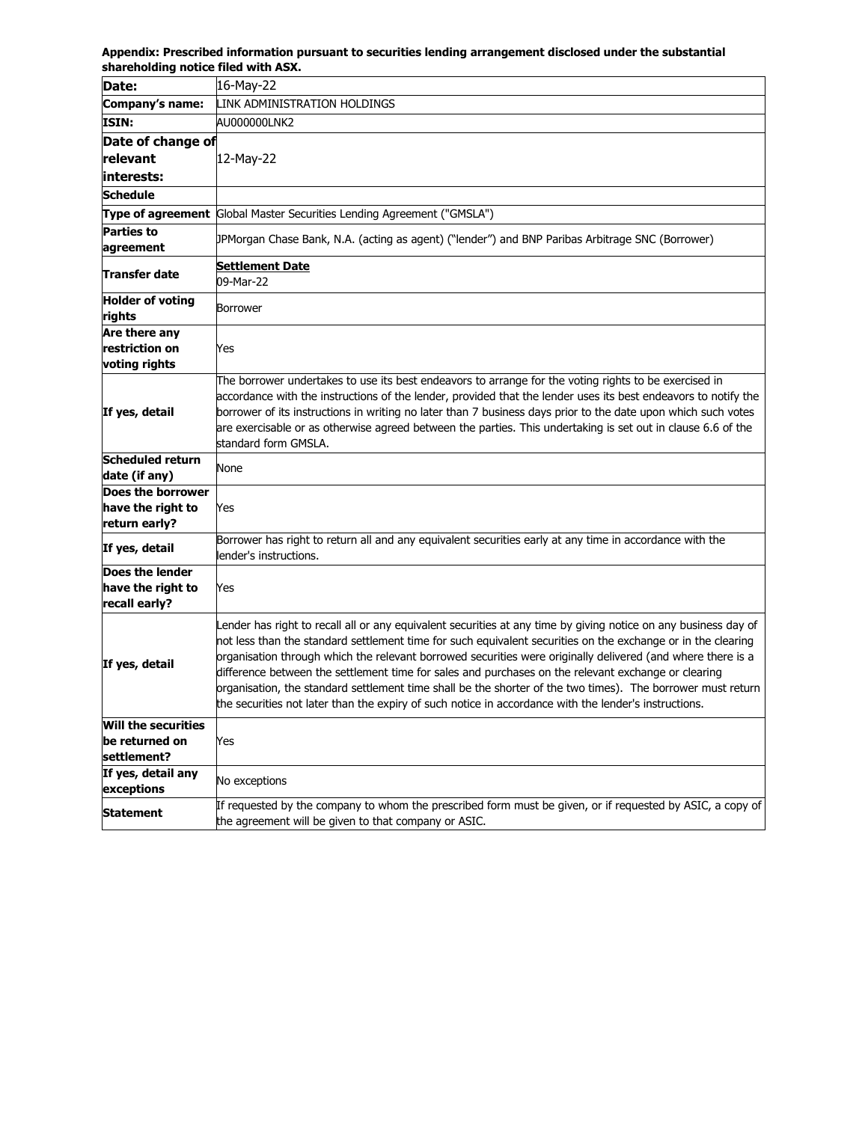**Appendix: Prescribed information pursuant to securities lending arrangement disclosed under the substantial shareholding notice filed with ASX.**

| SHALEHUKHIN HULILE HIEU WILH ASA.                       |                                                                                                                                                                                                                                                                                                                                                                                                                                                                                                                                                                                                                                                                               |
|---------------------------------------------------------|-------------------------------------------------------------------------------------------------------------------------------------------------------------------------------------------------------------------------------------------------------------------------------------------------------------------------------------------------------------------------------------------------------------------------------------------------------------------------------------------------------------------------------------------------------------------------------------------------------------------------------------------------------------------------------|
| Date:                                                   | 16-May-22                                                                                                                                                                                                                                                                                                                                                                                                                                                                                                                                                                                                                                                                     |
| Company's name:                                         | LINK ADMINISTRATION HOLDINGS                                                                                                                                                                                                                                                                                                                                                                                                                                                                                                                                                                                                                                                  |
| ISIN:                                                   | AU000000LNK2                                                                                                                                                                                                                                                                                                                                                                                                                                                                                                                                                                                                                                                                  |
| Date of change of<br>relevant<br>interests:             | 12-May-22                                                                                                                                                                                                                                                                                                                                                                                                                                                                                                                                                                                                                                                                     |
| Schedule                                                |                                                                                                                                                                                                                                                                                                                                                                                                                                                                                                                                                                                                                                                                               |
| Type of agreement                                       | Global Master Securities Lending Agreement ("GMSLA")                                                                                                                                                                                                                                                                                                                                                                                                                                                                                                                                                                                                                          |
| Parties to<br>agreement                                 | [JPMorgan Chase Bank, N.A. (acting as agent) ("lender") and BNP Paribas Arbitrage SNC (Borrower)                                                                                                                                                                                                                                                                                                                                                                                                                                                                                                                                                                              |
| Transfer date                                           | <b>Settlement Date</b><br>09-Mar-22                                                                                                                                                                                                                                                                                                                                                                                                                                                                                                                                                                                                                                           |
| <b>Holder of voting</b><br>rights                       | Borrower                                                                                                                                                                                                                                                                                                                                                                                                                                                                                                                                                                                                                                                                      |
| Are there any<br>restriction on<br>voting rights        | Yes                                                                                                                                                                                                                                                                                                                                                                                                                                                                                                                                                                                                                                                                           |
| If yes, detail                                          | The borrower undertakes to use its best endeavors to arrange for the voting rights to be exercised in<br>accordance with the instructions of the lender, provided that the lender uses its best endeavors to notify the<br>borrower of its instructions in writing no later than 7 business days prior to the date upon which such votes<br>are exercisable or as otherwise agreed between the parties. This undertaking is set out in clause 6.6 of the<br>standard form GMSLA.                                                                                                                                                                                              |
| Scheduled return<br>date (if any)                       | None                                                                                                                                                                                                                                                                                                                                                                                                                                                                                                                                                                                                                                                                          |
| Does the borrower<br>have the right to<br>return early? | Yes                                                                                                                                                                                                                                                                                                                                                                                                                                                                                                                                                                                                                                                                           |
| If yes, detail                                          | Borrower has right to return all and any equivalent securities early at any time in accordance with the<br>lender's instructions.                                                                                                                                                                                                                                                                                                                                                                                                                                                                                                                                             |
| Does the lender<br>have the right to<br>recall early?   | Yes                                                                                                                                                                                                                                                                                                                                                                                                                                                                                                                                                                                                                                                                           |
| If yes, detail                                          | Lender has right to recall all or any equivalent securities at any time by giving notice on any business day of<br>not less than the standard settlement time for such equivalent securities on the exchange or in the clearing<br>organisation through which the relevant borrowed securities were originally delivered (and where there is a<br>difference between the settlement time for sales and purchases on the relevant exchange or clearing<br>organisation, the standard settlement time shall be the shorter of the two times). The borrower must return<br>the securities not later than the expiry of such notice in accordance with the lender's instructions. |
| Will the securities<br>be returned on<br>settlement?    | Yes                                                                                                                                                                                                                                                                                                                                                                                                                                                                                                                                                                                                                                                                           |
| If yes, detail any<br>exceptions                        | No exceptions                                                                                                                                                                                                                                                                                                                                                                                                                                                                                                                                                                                                                                                                 |
| Statement                                               | If requested by the company to whom the prescribed form must be given, or if requested by ASIC, a copy of<br>the agreement will be given to that company or ASIC.                                                                                                                                                                                                                                                                                                                                                                                                                                                                                                             |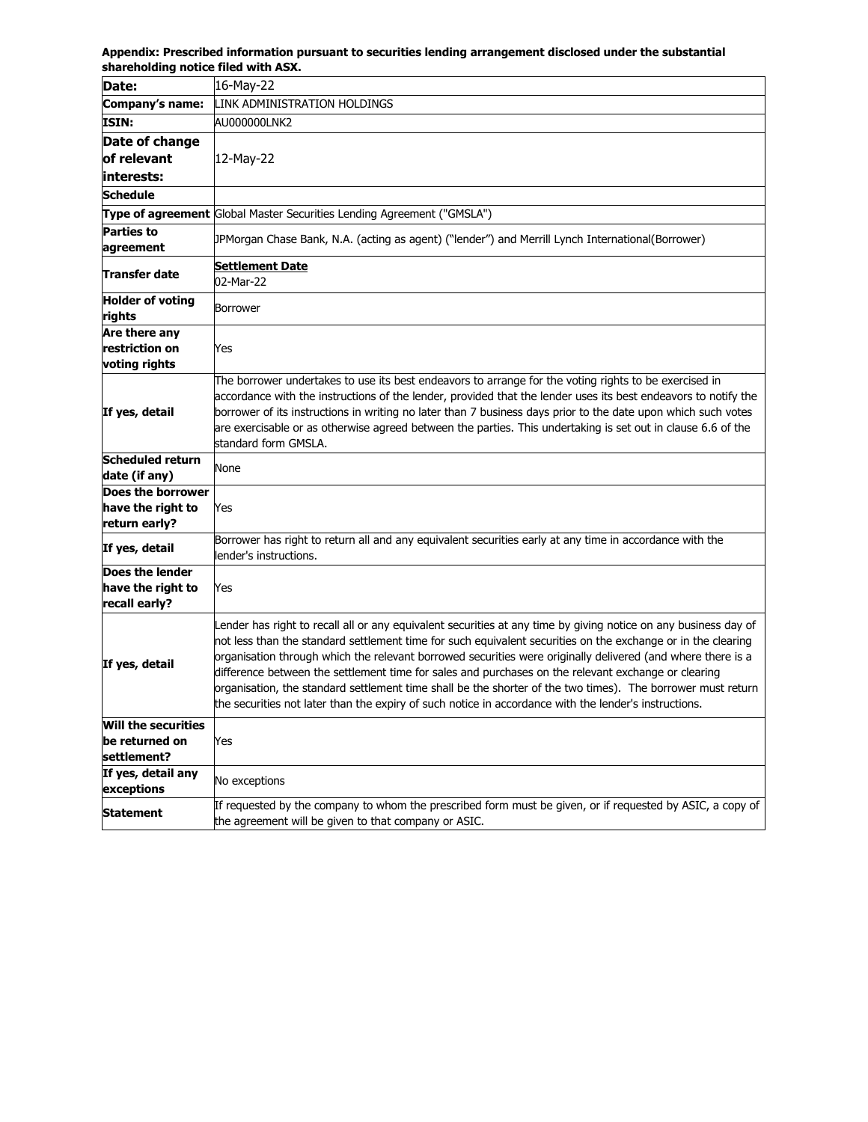**Appendix: Prescribed information pursuant to securities lending arrangement disclosed under the substantial shareholding notice filed with ASX.**

| Date:                                                       | 16-May-22                                                                                                                                                                                                                                                                                                                                                                                                                                                                                                                                                                                                                                                                     |
|-------------------------------------------------------------|-------------------------------------------------------------------------------------------------------------------------------------------------------------------------------------------------------------------------------------------------------------------------------------------------------------------------------------------------------------------------------------------------------------------------------------------------------------------------------------------------------------------------------------------------------------------------------------------------------------------------------------------------------------------------------|
| Company's name:                                             | LINK ADMINISTRATION HOLDINGS                                                                                                                                                                                                                                                                                                                                                                                                                                                                                                                                                                                                                                                  |
| <b>ISIN:</b>                                                | AU000000LNK2                                                                                                                                                                                                                                                                                                                                                                                                                                                                                                                                                                                                                                                                  |
| Date of change                                              |                                                                                                                                                                                                                                                                                                                                                                                                                                                                                                                                                                                                                                                                               |
| of relevant                                                 | 12-May-22                                                                                                                                                                                                                                                                                                                                                                                                                                                                                                                                                                                                                                                                     |
| interests:                                                  |                                                                                                                                                                                                                                                                                                                                                                                                                                                                                                                                                                                                                                                                               |
| Schedule                                                    |                                                                                                                                                                                                                                                                                                                                                                                                                                                                                                                                                                                                                                                                               |
|                                                             | <b>Type of agreement Global Master Securities Lending Agreement ("GMSLA")</b>                                                                                                                                                                                                                                                                                                                                                                                                                                                                                                                                                                                                 |
| <b>Parties to</b><br>agreement                              | (BPMorgan Chase Bank, N.A. (acting as agent) ("lender") and Merrill Lynch International(Borrower                                                                                                                                                                                                                                                                                                                                                                                                                                                                                                                                                                              |
| Transfer date                                               | <u>Settlement Date</u><br>02-Mar-22                                                                                                                                                                                                                                                                                                                                                                                                                                                                                                                                                                                                                                           |
| <b>Holder of voting</b><br>rights                           | Borrower                                                                                                                                                                                                                                                                                                                                                                                                                                                                                                                                                                                                                                                                      |
| Are there any                                               |                                                                                                                                                                                                                                                                                                                                                                                                                                                                                                                                                                                                                                                                               |
| restriction on                                              | Yes                                                                                                                                                                                                                                                                                                                                                                                                                                                                                                                                                                                                                                                                           |
| voting rights                                               | The borrower undertakes to use its best endeavors to arrange for the voting rights to be exercised in                                                                                                                                                                                                                                                                                                                                                                                                                                                                                                                                                                         |
| If yes, detail                                              | accordance with the instructions of the lender, provided that the lender uses its best endeavors to notify the<br>borrower of its instructions in writing no later than 7 business days prior to the date upon which such votes<br>are exercisable or as otherwise agreed between the parties. This undertaking is set out in clause 6.6 of the<br>standard form GMSLA.                                                                                                                                                                                                                                                                                                       |
| <b>Scheduled return</b><br>date (if any)                    | None                                                                                                                                                                                                                                                                                                                                                                                                                                                                                                                                                                                                                                                                          |
| Does the borrower                                           |                                                                                                                                                                                                                                                                                                                                                                                                                                                                                                                                                                                                                                                                               |
| have the right to                                           | Yes                                                                                                                                                                                                                                                                                                                                                                                                                                                                                                                                                                                                                                                                           |
| return early?                                               |                                                                                                                                                                                                                                                                                                                                                                                                                                                                                                                                                                                                                                                                               |
| If yes, detail                                              | Borrower has right to return all and any equivalent securities early at any time in accordance with the<br>lender's instructions.                                                                                                                                                                                                                                                                                                                                                                                                                                                                                                                                             |
| Does the lender<br>have the right to<br>recall early?       | Yes                                                                                                                                                                                                                                                                                                                                                                                                                                                                                                                                                                                                                                                                           |
| If yes, detail                                              | Lender has right to recall all or any equivalent securities at any time by giving notice on any business day of<br>not less than the standard settlement time for such equivalent securities on the exchange or in the clearing<br>prganisation through which the relevant borrowed securities were originally delivered (and where there is a<br>difference between the settlement time for sales and purchases on the relevant exchange or clearing<br>organisation, the standard settlement time shall be the shorter of the two times). The borrower must return<br>the securities not later than the expiry of such notice in accordance with the lender's instructions. |
| <b>Will the securities</b><br>be returned on<br>settlement? | Yes                                                                                                                                                                                                                                                                                                                                                                                                                                                                                                                                                                                                                                                                           |
| If yes, detail any<br>exceptions                            | No exceptions                                                                                                                                                                                                                                                                                                                                                                                                                                                                                                                                                                                                                                                                 |
| <b>Statement</b>                                            | If requested by the company to whom the prescribed form must be given, or if requested by ASIC, a copy of<br>the agreement will be given to that company or ASIC.                                                                                                                                                                                                                                                                                                                                                                                                                                                                                                             |